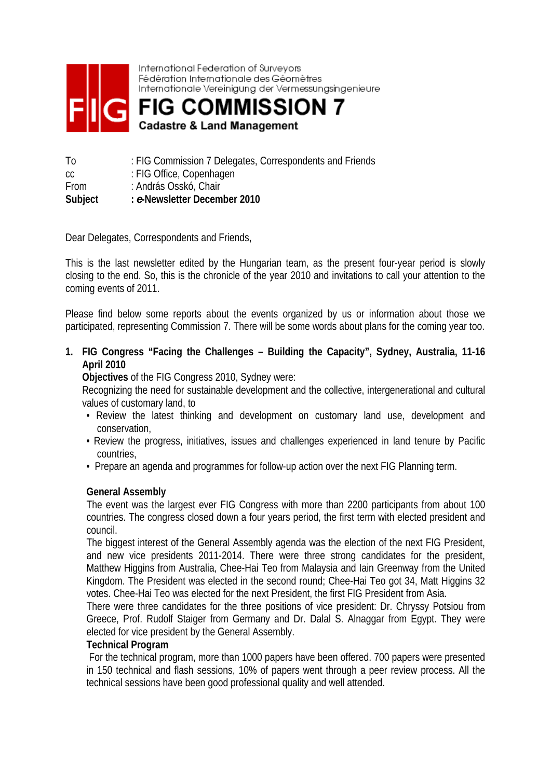

International Federation of Surveyors Fédération Internationale des Géomètres Internationale Vereinigung der Vermessungsingenieure



| Τo          | : FIG Commission 7 Delegates, Correspondents and Friends |
|-------------|----------------------------------------------------------|
| CC          | : FIG Office, Copenhagen                                 |
| <b>From</b> | : András Osskó, Chair                                    |
| Subject     | : e-Newsletter December 2010                             |

Dear Delegates, Correspondents and Friends,

This is the last newsletter edited by the Hungarian team, as the present four-year period is slowly closing to the end. So, this is the chronicle of the year 2010 and invitations to call your attention to the coming events of 2011.

Please find below some reports about the events organized by us or information about those we participated, representing Commission 7. There will be some words about plans for the coming year too.

**1. FIG Congress "Facing the Challenges – Building the Capacity", Sydney, Australia, 11-16 April 2010** 

**Objectives** of the FIG Congress 2010, Sydney were:

Recognizing the need for sustainable development and the collective, intergenerational and cultural values of customary land, to

- Review the latest thinking and development on customary land use, development and conservation,
- Review the progress, initiatives, issues and challenges experienced in land tenure by Pacific countries,
- Prepare an agenda and programmes for follow-up action over the next FIG Planning term.

#### **General Assembly**

The event was the largest ever FIG Congress with more than 2200 participants from about 100 countries. The congress closed down a four years period, the first term with elected president and council.

The biggest interest of the General Assembly agenda was the election of the next FIG President, and new vice presidents 2011-2014. There were three strong candidates for the president, Matthew Higgins from Australia, Chee-Hai Teo from Malaysia and Iain Greenway from the United Kingdom. The President was elected in the second round; Chee-Hai Teo got 34, Matt Higgins 32 votes. Chee-Hai Teo was elected for the next President, the first FIG President from Asia.

There were three candidates for the three positions of vice president: Dr. Chryssy Potsiou from Greece, Prof. Rudolf Staiger from Germany and Dr. Dalal S. Alnaggar from Egypt. They were elected for vice president by the General Assembly.

#### **Technical Program**

 For the technical program, more than 1000 papers have been offered. 700 papers were presented in 150 technical and flash sessions, 10% of papers went through a peer review process. All the technical sessions have been good professional quality and well attended.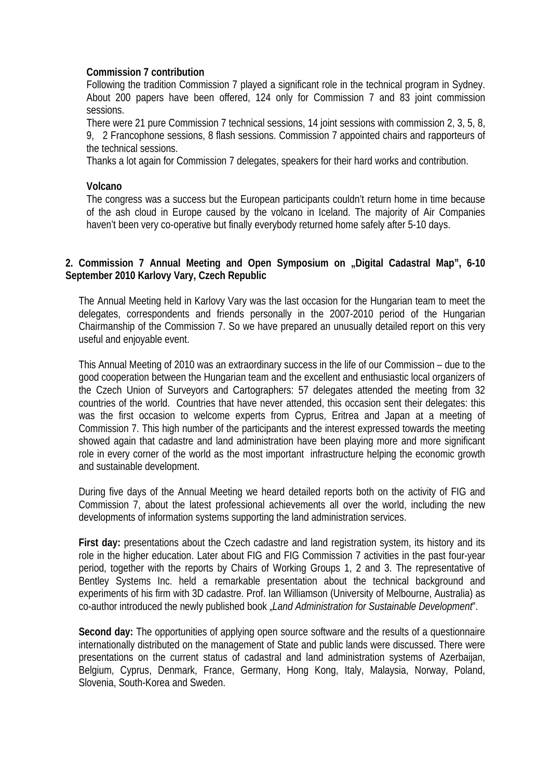## **Commission 7 contribution**

Following the tradition Commission 7 played a significant role in the technical program in Sydney. About 200 papers have been offered, 124 only for Commission 7 and 83 joint commission sessions.

There were 21 pure Commission 7 technical sessions, 14 joint sessions with commission 2, 3, 5, 8, 9, 2 Francophone sessions, 8 flash sessions. Commission 7 appointed chairs and rapporteurs of the technical sessions.

Thanks a lot again for Commission 7 delegates, speakers for their hard works and contribution.

#### **Volcano**

The congress was a success but the European participants couldn't return home in time because of the ash cloud in Europe caused by the volcano in Iceland. The majority of Air Companies haven't been very co-operative but finally everybody returned home safely after 5-10 days.

## **2. Commission 7 Annual Meeting and Open Symposium on "Digital Cadastral Map", 6-10 September 2010 Karlovy Vary, Czech Republic**

The Annual Meeting held in Karlovy Vary was the last occasion for the Hungarian team to meet the delegates, correspondents and friends personally in the 2007-2010 period of the Hungarian Chairmanship of the Commission 7. So we have prepared an unusually detailed report on this very useful and enjoyable event.

This Annual Meeting of 2010 was an extraordinary success in the life of our Commission – due to the good cooperation between the Hungarian team and the excellent and enthusiastic local organizers of the Czech Union of Surveyors and Cartographers: 57 delegates attended the meeting from 32 countries of the world. Countries that have never attended, this occasion sent their delegates: this was the first occasion to welcome experts from Cyprus, Eritrea and Japan at a meeting of Commission 7. This high number of the participants and the interest expressed towards the meeting showed again that cadastre and land administration have been playing more and more significant role in every corner of the world as the most important infrastructure helping the economic growth and sustainable development.

During five days of the Annual Meeting we heard detailed reports both on the activity of FIG and Commission 7, about the latest professional achievements all over the world, including the new developments of information systems supporting the land administration services.

**First day:** presentations about the Czech cadastre and land registration system, its history and its role in the higher education. Later about FIG and FIG Commission 7 activities in the past four-year period, together with the reports by Chairs of Working Groups 1, 2 and 3. The representative of Bentley Systems Inc. held a remarkable presentation about the technical background and experiments of his firm with 3D cadastre. Prof. Ian Williamson (University of Melbourne, Australia) as co-author introduced the newly published book "*Land Administration for Sustainable Development*".

Second day: The opportunities of applying open source software and the results of a questionnaire internationally distributed on the management of State and public lands were discussed. There were presentations on the current status of cadastral and land administration systems of Azerbaijan, Belgium, Cyprus, Denmark, France, Germany, Hong Kong, Italy, Malaysia, Norway, Poland, Slovenia, South-Korea and Sweden.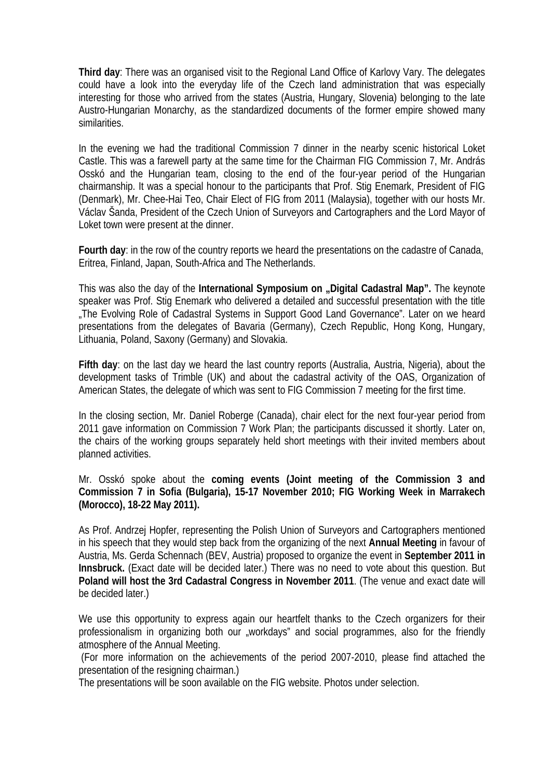**Third day**: There was an organised visit to the Regional Land Office of Karlovy Vary. The delegates could have a look into the everyday life of the Czech land administration that was especially interesting for those who arrived from the states (Austria, Hungary, Slovenia) belonging to the late Austro-Hungarian Monarchy, as the standardized documents of the former empire showed many similarities.

In the evening we had the traditional Commission 7 dinner in the nearby scenic historical Loket Castle. This was a farewell party at the same time for the Chairman FIG Commission 7, Mr. András Osskó and the Hungarian team, closing to the end of the four-year period of the Hungarian chairmanship. It was a special honour to the participants that Prof. Stig Enemark, President of FIG (Denmark), Mr. Chee-Hai Teo, Chair Elect of FIG from 2011 (Malaysia), together with our hosts Mr. Václav Šanda, President of the Czech Union of Surveyors and Cartographers and the Lord Mayor of Loket town were present at the dinner.

**Fourth day**: in the row of the country reports we heard the presentations on the cadastre of Canada, Eritrea, Finland, Japan, South-Africa and The Netherlands.

This was also the day of the **International Symposium on "Digital Cadastral Map"**. The keynote speaker was Prof. Stig Enemark who delivered a detailed and successful presentation with the title "The Evolving Role of Cadastral Systems in Support Good Land Governance". Later on we heard presentations from the delegates of Bavaria (Germany), Czech Republic, Hong Kong, Hungary, Lithuania, Poland, Saxony (Germany) and Slovakia.

**Fifth day**: on the last day we heard the last country reports (Australia, Austria, Nigeria), about the development tasks of Trimble (UK) and about the cadastral activity of the OAS, Organization of American States, the delegate of which was sent to FIG Commission 7 meeting for the first time.

In the closing section, Mr. Daniel Roberge (Canada), chair elect for the next four-year period from 2011 gave information on Commission 7 Work Plan; the participants discussed it shortly. Later on, the chairs of the working groups separately held short meetings with their invited members about planned activities.

Mr. Osskó spoke about the **coming events (Joint meeting of the Commission 3 and Commission 7 in Sofia (Bulgaria), 15-17 November 2010; FIG Working Week in Marrakech (Morocco), 18-22 May 2011).** 

As Prof. Andrzej Hopfer, representing the Polish Union of Surveyors and Cartographers mentioned in his speech that they would step back from the organizing of the next **Annual Meeting** in favour of Austria, Ms. Gerda Schennach (BEV, Austria) proposed to organize the event in **September 2011 in Innsbruck.** (Exact date will be decided later.) There was no need to vote about this question. But **Poland will host the 3rd Cadastral Congress in November 2011**. (The venue and exact date will be decided later.)

We use this opportunity to express again our heartfelt thanks to the Czech organizers for their professionalism in organizing both our "workdays" and social programmes, also for the friendly atmosphere of the Annual Meeting.

 (For more information on the achievements of the period 2007-2010, please find attached the presentation of the resigning chairman.)

The presentations will be soon available on the FIG website. Photos under selection.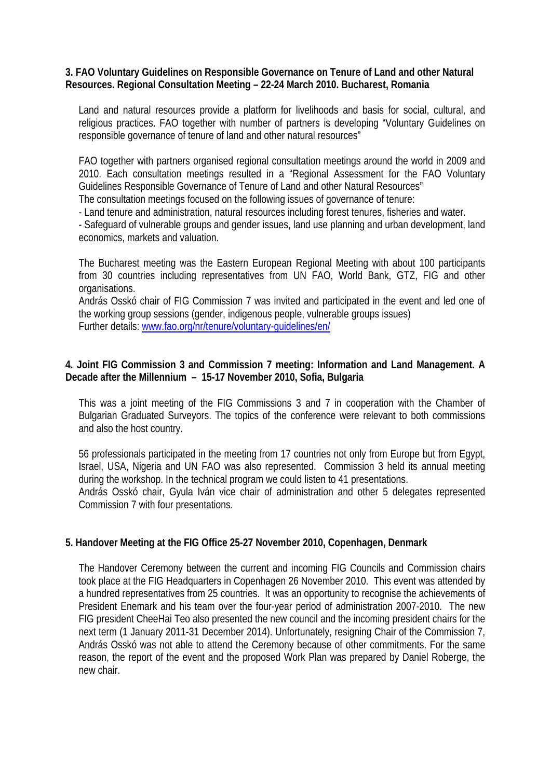### **3. FAO Voluntary Guidelines on Responsible Governance on Tenure of Land and other Natural Resources. Regional Consultation Meeting – 22-24 March 2010. Bucharest, Romania**

Land and natural resources provide a platform for livelihoods and basis for social, cultural, and religious practices. FAO together with number of partners is developing "Voluntary Guidelines on responsible governance of tenure of land and other natural resources"

FAO together with partners organised regional consultation meetings around the world in 2009 and 2010. Each consultation meetings resulted in a "Regional Assessment for the FAO Voluntary Guidelines Responsible Governance of Tenure of Land and other Natural Resources"

The consultation meetings focused on the following issues of governance of tenure:

- Land tenure and administration, natural resources including forest tenures, fisheries and water.

- Safeguard of vulnerable groups and gender issues, land use planning and urban development, land economics, markets and valuation.

The Bucharest meeting was the Eastern European Regional Meeting with about 100 participants from 30 countries including representatives from UN FAO, World Bank, GTZ, FIG and other organisations.

András Osskó chair of FIG Commission 7 was invited and participated in the event and led one of the working group sessions (gender, indigenous people, vulnerable groups issues) Further details: www.fao.org/nr/tenure/voluntary-guidelines/en/

# **4. Joint FIG Commission 3 and Commission 7 meeting: Information and Land Management. A Decade after the Millennium – 15-17 November 2010, Sofia, Bulgaria**

This was a joint meeting of the FIG Commissions 3 and 7 in cooperation with the Chamber of Bulgarian Graduated Surveyors. The topics of the conference were relevant to both commissions and also the host country.

56 professionals participated in the meeting from 17 countries not only from Europe but from Egypt, Israel, USA, Nigeria and UN FAO was also represented. Commission 3 held its annual meeting during the workshop. In the technical program we could listen to 41 presentations.

András Osskó chair, Gyula Iván vice chair of administration and other 5 delegates represented Commission 7 with four presentations.

# **5. Handover Meeting at the FIG Office 25-27 November 2010, Copenhagen, Denmark**

The Handover Ceremony between the current and incoming FIG Councils and Commission chairs took place at the FIG Headquarters in Copenhagen 26 November 2010. This event was attended by a hundred representatives from 25 countries. It was an opportunity to recognise the achievements of President Enemark and his team over the four-year period of administration 2007-2010. The new FIG president CheeHai Teo also presented the new council and the incoming president chairs for the next term (1 January 2011-31 December 2014). Unfortunately, resigning Chair of the Commission 7, András Osskó was not able to attend the Ceremony because of other commitments. For the same reason, the report of the event and the proposed Work Plan was prepared by Daniel Roberge, the new chair.